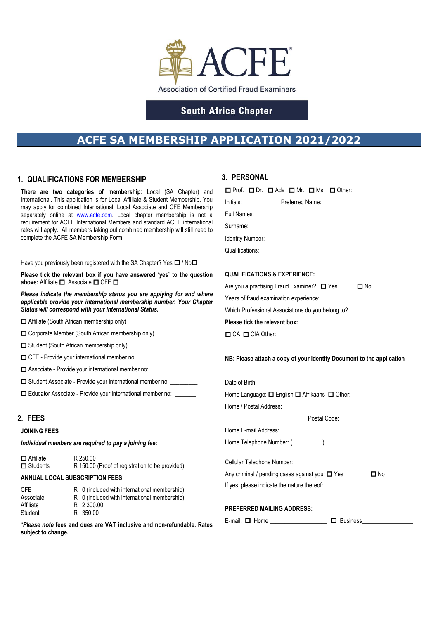

## **South Africa Chapter**

# **ACFE SA MEMBERSHIP APPLICATION 2021/2022**

### **1. QUALIFICATIONS FOR MEMBERSHIP**

**There are two categories of membership**: Local (SA Chapter) and International. This application is for Local Affiliate & Student Membership. You may apply for combined International, Local Associate and CFE Membership separately online at [www.acfe.com.](http://www.acfe.com/) Local chapter membership is not a requirement for ACFE International Members and standard ACFE international rates will apply. All members taking out combined membership will still need to complete the ACFE SA Membership Form.

Have you previously been registered with the SA Chapter? Yes  $\Box$  / No $\Box$ 

**Please tick the relevant box if you have answered 'yes' to the question**  above: Affiliate **□** Associate **□** CFE **□** 

*Please indicate the membership status you are applying for and where applicable provide your international membership number. Your Chapter Status will correspond with your International Status.*

Affiliate (South African membership only)

□ Corporate Member (South African membership only)

 $\Box$  Student (South African membership only)

 $\Box$  CFE - Provide your international member no:  $\Box$ 

 $\Box$  Associate - Provide your international member no:  $\Box$ 

 $\Box$  Student Associate - Provide your international member no:  $\Box$ 

□ Educator Associate - Provide your international member no:

### **2. FEES**

**JOINING FEES**

*Individual members are required to pay a joining fee***:**

| $\Box$ Affiliate | R 250.00                                        |
|------------------|-------------------------------------------------|
| $\Box$ Students  | R 150.00 (Proof of registration to be provided) |

#### **ANNUAL LOCAL SUBSCRIPTION FEES**

| CFE       | R 0 (included with international membership) |
|-----------|----------------------------------------------|
| Associate | R 0 (included with international membership) |
| Affiliate | R 2 300.00                                   |
| Student   | R 350.00                                     |

*\*Please note* **fees and dues are VAT inclusive and non-refundable. Rates subject to change.**

### **3. PERSONAL**

| $\square$ Prof. $\square$ Dr. $\square$ Adv $\square$ Mr. $\square$ Ms. $\square$ Other: _____________________ |
|----------------------------------------------------------------------------------------------------------------|
|                                                                                                                |
|                                                                                                                |
|                                                                                                                |
|                                                                                                                |
| Qualifications: <u>Constitutions</u>                                                                           |
|                                                                                                                |

#### **QUALIFICATIONS & EXPERIENCE:**

| Are you a practising Fraud Examiner? $\Box$ Yes   |  | $\square$ No |  |  |  |
|---------------------------------------------------|--|--------------|--|--|--|
| Years of fraud examination experience:            |  |              |  |  |  |
| Which Professional Associations do you belong to? |  |              |  |  |  |
| Please tick the relevant box:                     |  |              |  |  |  |
| $\Box$ CA $\Box$ CIA Other:                       |  |              |  |  |  |

**NB: Please attach a copy of your Identity Document to the application**

| Home Language: $\square$ English $\square$ Afrikaans $\square$ Other: _________________________ |  |  |  |  |
|-------------------------------------------------------------------------------------------------|--|--|--|--|
|                                                                                                 |  |  |  |  |
|                                                                                                 |  |  |  |  |
|                                                                                                 |  |  |  |  |
|                                                                                                 |  |  |  |  |
|                                                                                                 |  |  |  |  |
| Any criminal / pending cases against you: □ Yes<br>$\square$ No                                 |  |  |  |  |
| If yes, please indicate the nature thereof:                                                     |  |  |  |  |
| <b>PREFERRED MAILING ADDRESS:</b>                                                               |  |  |  |  |
| E-mail: □ Home _____________________ □ Business _______________                                 |  |  |  |  |